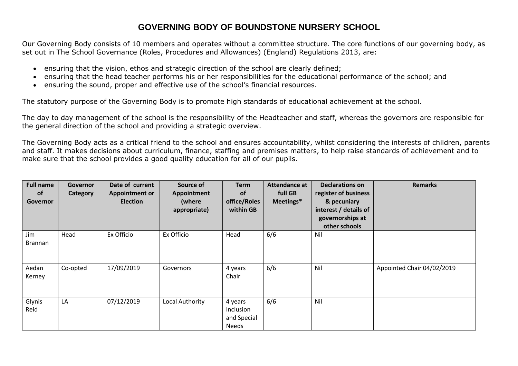## **GOVERNING BODY OF BOUNDSTONE NURSERY SCHOOL**

Our Governing Body consists of 10 members and operates without a committee structure. The core functions of our governing body, as set out in The School Governance (Roles, Procedures and Allowances) (England) Regulations 2013, are:

- ensuring that the vision, ethos and strategic direction of the school are clearly defined;
- ensuring that the head teacher performs his or her responsibilities for the educational performance of the school; and
- ensuring the sound, proper and effective use of the school's financial resources.

The statutory purpose of the Governing Body is to promote high standards of educational achievement at the school.

The day to day management of the school is the responsibility of the Headteacher and staff, whereas the governors are responsible for the general direction of the school and providing a strategic overview.

The Governing Body acts as a critical friend to the school and ensures accountability, whilst considering the interests of children, parents and staff. It makes decisions about curriculum, finance, staffing and premises matters, to help raise standards of achievement and to make sure that the school provides a good quality education for all of our pupils.

| <b>Full name</b><br><b>of</b><br>Governor | Governor<br>Category | Date of current<br><b>Appointment or</b><br><b>Election</b> | Source of<br>Appointment<br>(where<br>appropriate) | <b>Term</b><br><b>of</b><br>office/Roles<br>within GB | Attendance at<br>full GB<br>Meetings* | <b>Declarations on</b><br>register of business<br>& pecuniary<br>interest / details of<br>governorships at<br>other schools | <b>Remarks</b>             |
|-------------------------------------------|----------------------|-------------------------------------------------------------|----------------------------------------------------|-------------------------------------------------------|---------------------------------------|-----------------------------------------------------------------------------------------------------------------------------|----------------------------|
| Jim<br><b>Brannan</b>                     | Head                 | Ex Officio                                                  | Ex Officio                                         | Head                                                  | 6/6                                   | Nil                                                                                                                         |                            |
| Aedan<br>Kerney                           | Co-opted             | 17/09/2019                                                  | Governors                                          | 4 years<br>Chair                                      | 6/6                                   | Nil                                                                                                                         | Appointed Chair 04/02/2019 |
| Glynis<br>Reid                            | LA                   | 07/12/2019                                                  | Local Authority                                    | 4 years<br>Inclusion<br>and Special<br><b>Needs</b>   | 6/6                                   | Nil                                                                                                                         |                            |